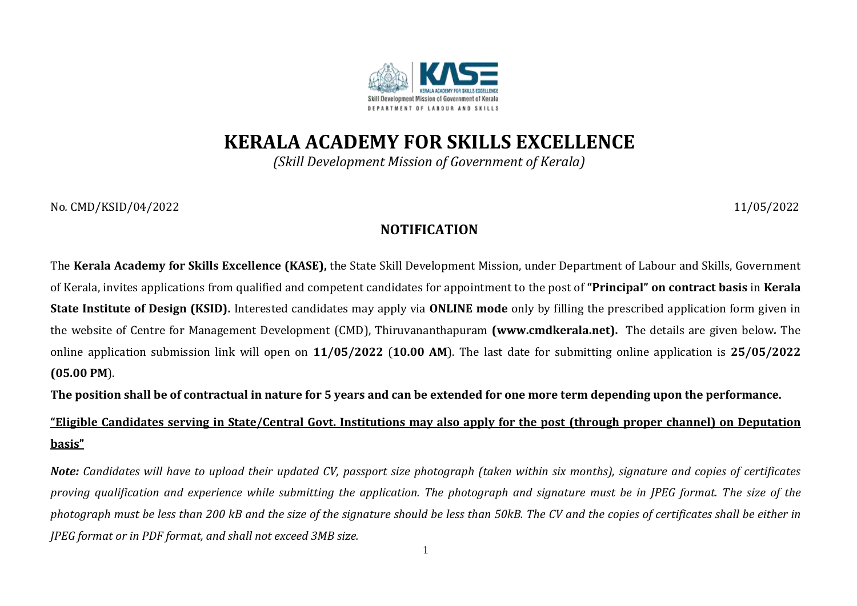

## **KERALA ACADEMY FOR SKILLS EXCELLENCE**

*(Skill Development Mission of Government of Kerala)*

No*.* CMD/KSID/04/2022 11/05/2022

## **NOTIFICATION**

The **Kerala Academy for Skills Excellence (KASE),** the State Skill Development Mission, under Department of Labour and Skills, Government of Kerala, invites applications from qualified and competent candidates for appointment to the post of **"Principal" on contract basis** in **Kerala State Institute of Design (KSID).** Interested candidates may apply via **ONLINE mode** only by filling the prescribed application form given in the website of Centre for Management Development (CMD), Thiruvananthapuram **(www.cmdkerala.net).** The details are given below*.* The online application submission link will open on **11/05/2022** (**10.00 AM**). The last date for submitting online application is **25/05/2022 (05.00 PM**).

The position shall be of contractual in nature for 5 years and can be extended for one more term depending upon the performance.

**"Eligible Candidates serving in State/Central Govt. Institutions may also apply for the post (through proper channel) on Deputation basis"**

*Note: Candidates will have to upload their updated CV, passport size photograph (taken within six months), signature and copies of certificates proving qualification and experience while submitting the application. The photograph and signature must be in JPEG format. The size of the photograph must be less than 200 kB and the size of the signature should be less than 50kB. The CV and the copies of certificates shall be either in JPEG format or in PDF format, and shall not exceed 3MB size.*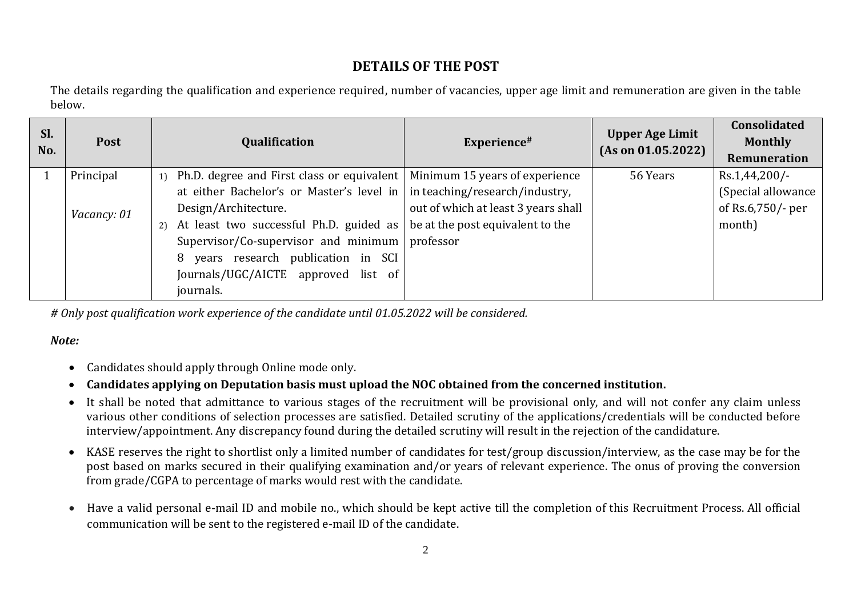## **DETAILS OF THE POST**

The details regarding the qualification and experience required, number of vacancies, upper age limit and remuneration are given in the table below.

| SI.<br>No. | <b>Post</b> | Qualification                                                                          | Experience#                         | <b>Upper Age Limit</b><br>(As on 01.05.2022) | Consolidated<br><b>Monthly</b><br>Remuneration |
|------------|-------------|----------------------------------------------------------------------------------------|-------------------------------------|----------------------------------------------|------------------------------------------------|
|            | Principal   | 1) Ph.D. degree and First class or equivalent   Minimum 15 years of experience         |                                     | 56 Years                                     | $Rs.1,44,200/-$                                |
|            |             | at either Bachelor's or Master's level in $\vert$ in teaching/research/industry,       |                                     |                                              | (Special allowance                             |
|            | Vacancy: 01 | Design/Architecture.                                                                   | out of which at least 3 years shall |                                              | of Rs.6,750/- per                              |
|            |             | At least two successful Ph.D. guided as $\vert$ be at the post equivalent to the<br>2) |                                     |                                              | month)                                         |
|            |             | Supervisor/Co-supervisor and minimum $ $ professor                                     |                                     |                                              |                                                |
|            |             | years research publication in SCI<br>8                                                 |                                     |                                              |                                                |
|            |             | Journals/UGC/AICTE approved list of                                                    |                                     |                                              |                                                |
|            |             | journals.                                                                              |                                     |                                              |                                                |

*# Only post qualification work experience of the candidate until 01.05.2022 will be considered.*

## *Note:*

- Candidates should apply through Online mode only.
- **Candidates applying on Deputation basis must upload the NOC obtained from the concerned institution.**
- It shall be noted that admittance to various stages of the recruitment will be provisional only, and will not confer any claim unless various other conditions of selection processes are satisfied. Detailed scrutiny of the applications/credentials will be conducted before interview/appointment. Any discrepancy found during the detailed scrutiny will result in the rejection of the candidature.
- KASE reserves the right to shortlist only a limited number of candidates for test/group discussion/interview, as the case may be for the post based on marks secured in their qualifying examination and/or years of relevant experience. The onus of proving the conversion from grade/CGPA to percentage of marks would rest with the candidate.
- Have a valid personal e-mail ID and mobile no., which should be kept active till the completion of this Recruitment Process. All official communication will be sent to the registered e-mail ID of the candidate.